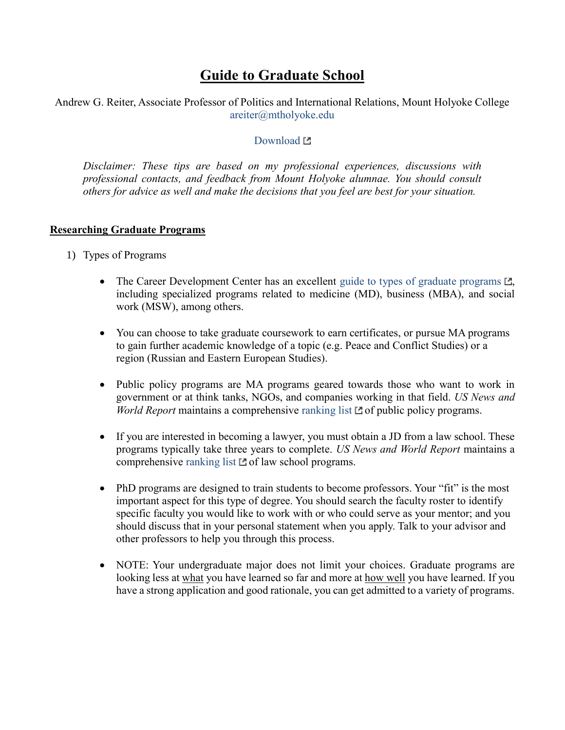# **Guide to Graduate School**

Andrew G. Reiter, Associate Professor of Politics and International Relations, Mount Holyoke College [areiter@mtholyoke.edu](mailto:areiter@mtholyoke.edu)

#### [Download](http://www.andyreiter.com/student-resources/) L'

*Disclaimer: These tips are based on my professional experiences, discussions with professional contacts, and feedback from Mount Holyoke alumnae. You should consult others for advice as well and make the decisions that you feel are best for your situation.*

#### **Researching Graduate Programs**

- 1) Types of Programs
	- The Career Development Center has an excellent [guide to types of graduate programs](https://www.mtholyoke.edu/cdc/graduate-study-options)  $\mathbb{Z}$ , including specialized programs related to medicine (MD), business (MBA), and social work (MSW), among others.
	- You can choose to take graduate coursework to earn certificates, or pursue MA programs to gain further academic knowledge of a topic (e.g. Peace and Conflict Studies) or a region (Russian and Eastern European Studies).
	- Public policy programs are MA programs geared towards those who want to work in government or at think tanks, NGOs, and companies working in that field. *US News and World Report* maintains a comprehensive [ranking list](https://www.usnews.com/best-graduate-schools/top-public-affairs-schools/public-policy-analysis-rankings)  $\Box$  of public policy programs.
	- If you are interested in becoming a lawyer, you must obtain a JD from a law school. These programs typically take three years to complete. *US News and World Report* maintains a comprehensive [ranking list](https://www.usnews.com/best-graduate-schools/top-law-schools/law-rankings)  $\square$  of law school programs.
	- PhD programs are designed to train students to become professors. Your "fit" is the most important aspect for this type of degree. You should search the faculty roster to identify specific faculty you would like to work with or who could serve as your mentor; and you should discuss that in your personal statement when you apply. Talk to your advisor and other professors to help you through this process.
	- NOTE: Your undergraduate major does not limit your choices. Graduate programs are looking less at what you have learned so far and more at how well you have learned. If you have a strong application and good rationale, you can get admitted to a variety of programs.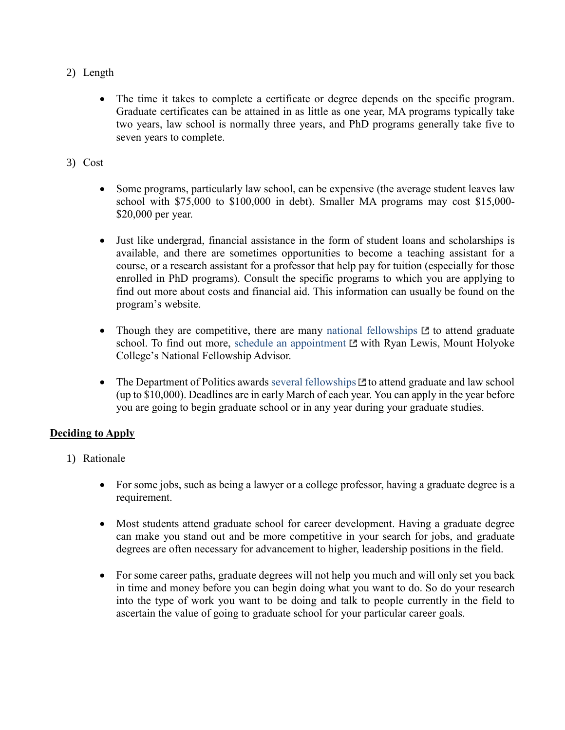- 2) Length
	- The time it takes to complete a certificate or degree depends on the specific program. Graduate certificates can be attained in as little as one year, MA programs typically take two years, law school is normally three years, and PhD programs generally take five to seven years to complete.
- 3) Cost
	- Some programs, particularly law school, can be expensive (the average student leaves law school with \$75,000 to \$100,000 in debt). Smaller MA programs may cost \$15,000- \$20,000 per year.
	- Just like undergrad, financial assistance in the form of student loans and scholarships is available, and there are sometimes opportunities to become a teaching assistant for a course, or a research assistant for a professor that help pay for tuition (especially for those enrolled in PhD programs). Consult the specific programs to which you are applying to find out more about costs and financial aid. This information can usually be found on the program's website.
	- Though they are competitive, there are many [national fellowships](https://www.mtholyoke.edu/fellowships/major-fellowships-list)  $\Box$  to attend graduate school. To find out more, [schedule an appointment](https://www.mtholyoke.edu/fellowships/make-appointment)  $E$  with Ryan Lewis, Mount Holyoke College's National Fellowship Advisor.
	- The Department of Politics awards [several fellowships](https://www.mtholyoke.edu/acad/politics/awards)  $\square$  to attend graduate and law school (up to \$10,000). Deadlines are in early March of each year. You can apply in the year before you are going to begin graduate school or in any year during your graduate studies.

### **Deciding to Apply**

- 1) Rationale
	- For some jobs, such as being a lawyer or a college professor, having a graduate degree is a requirement.
	- Most students attend graduate school for career development. Having a graduate degree can make you stand out and be more competitive in your search for jobs, and graduate degrees are often necessary for advancement to higher, leadership positions in the field.
	- For some career paths, graduate degrees will not help you much and will only set you back in time and money before you can begin doing what you want to do. So do your research into the type of work you want to be doing and talk to people currently in the field to ascertain the value of going to graduate school for your particular career goals.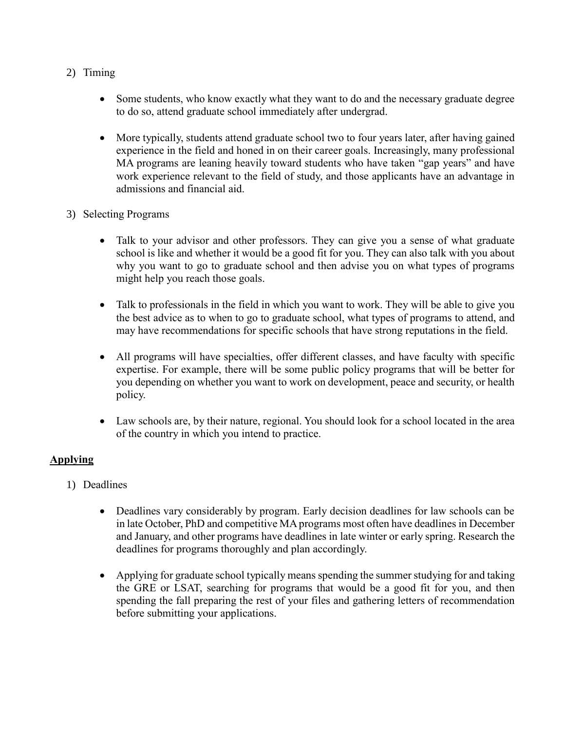- 2) Timing
	- Some students, who know exactly what they want to do and the necessary graduate degree to do so, attend graduate school immediately after undergrad.
	- More typically, students attend graduate school two to four years later, after having gained experience in the field and honed in on their career goals. Increasingly, many professional MA programs are leaning heavily toward students who have taken "gap years" and have work experience relevant to the field of study, and those applicants have an advantage in admissions and financial aid.
- 3) Selecting Programs
	- Talk to your advisor and other professors. They can give you a sense of what graduate school is like and whether it would be a good fit for you. They can also talk with you about why you want to go to graduate school and then advise you on what types of programs might help you reach those goals.
	- Talk to professionals in the field in which you want to work. They will be able to give you the best advice as to when to go to graduate school, what types of programs to attend, and may have recommendations for specific schools that have strong reputations in the field.
	- All programs will have specialties, offer different classes, and have faculty with specific expertise. For example, there will be some public policy programs that will be better for you depending on whether you want to work on development, peace and security, or health policy.
	- Law schools are, by their nature, regional. You should look for a school located in the area of the country in which you intend to practice.

## **Applying**

- 1) Deadlines
	- Deadlines vary considerably by program. Early decision deadlines for law schools can be in late October, PhD and competitive MA programs most often have deadlines in December and January, and other programs have deadlines in late winter or early spring. Research the deadlines for programs thoroughly and plan accordingly.
	- Applying for graduate school typically means spending the summer studying for and taking the GRE or LSAT, searching for programs that would be a good fit for you, and then spending the fall preparing the rest of your files and gathering letters of recommendation before submitting your applications.